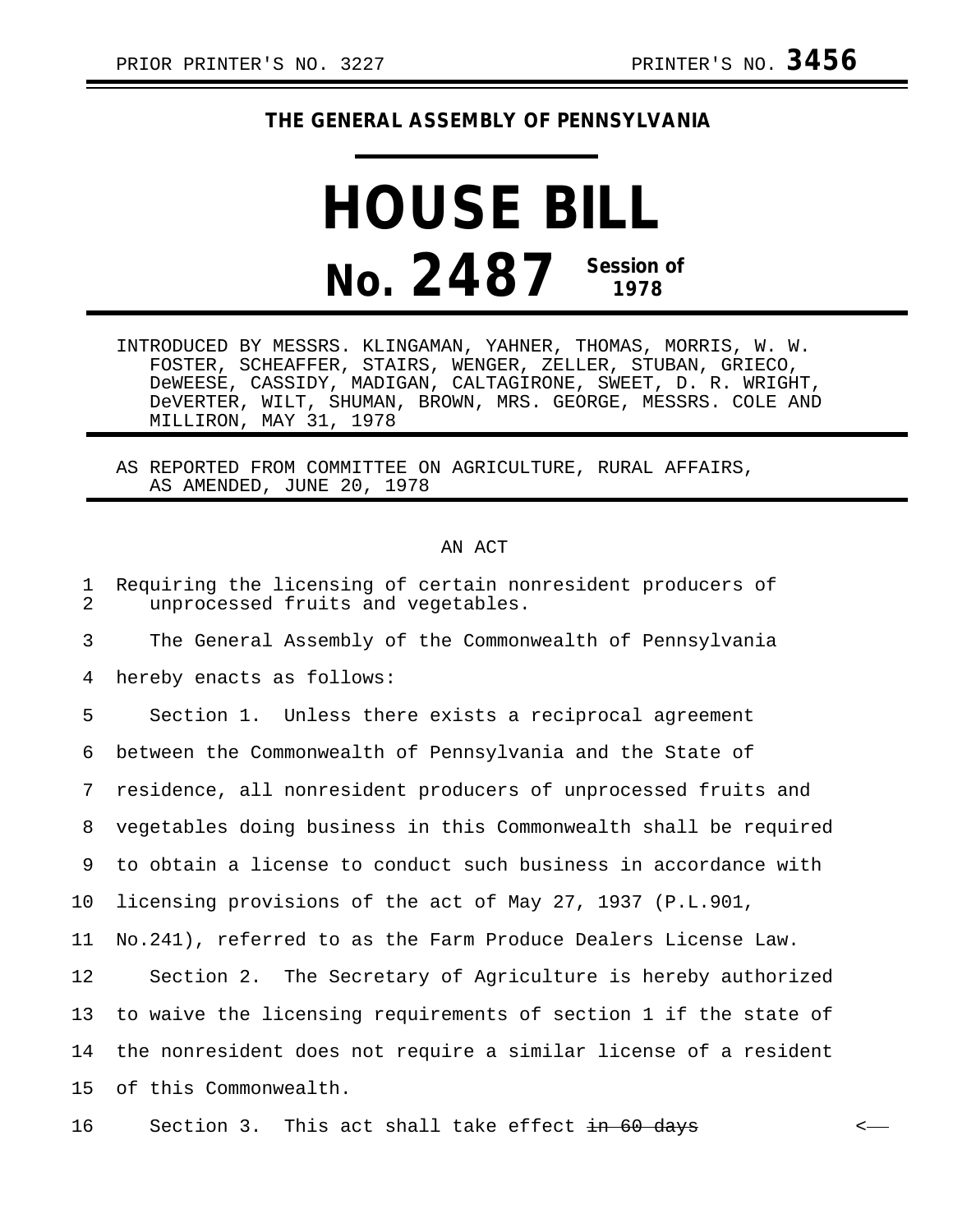## **THE GENERAL ASSEMBLY OF PENNSYLVANIA**

## **HOUSE BILL No. 2487 Session of 1978**

INTRODUCED BY MESSRS. KLINGAMAN, YAHNER, THOMAS, MORRIS, W. W. FOSTER, SCHEAFFER, STAIRS, WENGER, ZELLER, STUBAN, GRIECO, DeWEESE, CASSIDY, MADIGAN, CALTAGIRONE, SWEET, D. R. WRIGHT, DeVERTER, WILT, SHUMAN, BROWN, MRS. GEORGE, MESSRS. COLE AND MILLIRON, MAY 31, 1978

AS REPORTED FROM COMMITTEE ON AGRICULTURE, RURAL AFFAIRS, AS AMENDED, JUNE 20, 1978

## AN ACT

| 1<br>2 | Requiring the licensing of certain nonresident producers of<br>unprocessed fruits and vegetables. |
|--------|---------------------------------------------------------------------------------------------------|
| 3      | The General Assembly of the Commonwealth of Pennsylvania                                          |
| 4      | hereby enacts as follows:                                                                         |
| 5      | Section 1. Unless there exists a reciprocal agreement                                             |
| 6      | between the Commonwealth of Pennsylvania and the State of                                         |
| 7      | residence, all nonresident producers of unprocessed fruits and                                    |
| 8      | vegetables doing business in this Commonwealth shall be required                                  |
| 9      | to obtain a license to conduct such business in accordance with                                   |
| 10     | licensing provisions of the act of May 27, 1937 (P.L.901,                                         |
| 11     | No.241), referred to as the Farm Produce Dealers License Law.                                     |
| 12     | Section 2. The Secretary of Agriculture is hereby authorized                                      |
| 13     | to waive the licensing requirements of section 1 if the state of                                  |
| 14     | the nonresident does not require a similar license of a resident                                  |
| 15     | of this Commonwealth.                                                                             |
|        |                                                                                                   |

16 Section 3. This act shall take effect  $\frac{1}{10}$  60 days